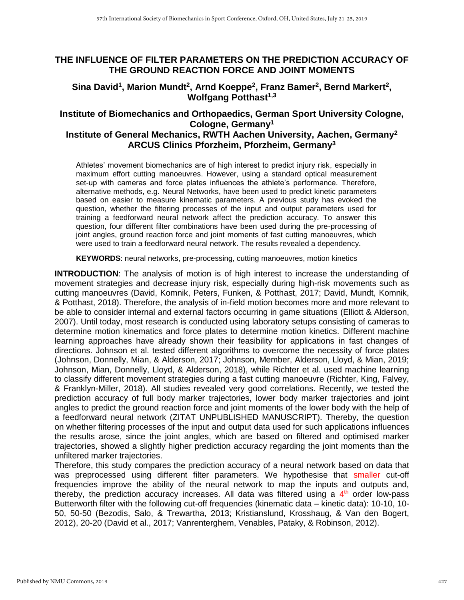# **THE INFLUENCE OF FILTER PARAMETERS ON THE PREDICTION ACCURACY OF THE GROUND REACTION FORCE AND JOINT MOMENTS**

## Sina David<sup>1</sup>, Marion Mundt<sup>2</sup>, Arnd Koeppe<sup>2</sup>, Franz Bamer<sup>2</sup>, Bernd Markert<sup>2</sup>, **Wolfgang Potthast1,3**

# **Institute of Biomechanics and Orthopaedics, German Sport University Cologne, Cologne, Germany<sup>1</sup>**

## **Institute of General Mechanics, RWTH Aachen University, Aachen, Germany<sup>2</sup> ARCUS Clinics Pforzheim, Pforzheim, Germany<sup>3</sup>**

Athletes' movement biomechanics are of high interest to predict injury risk, especially in maximum effort cutting manoeuvres. However, using a standard optical measurement set-up with cameras and force plates influences the athlete's performance. Therefore, alternative methods, e.g. Neural Networks, have been used to predict kinetic parameters based on easier to measure kinematic parameters. A previous study has evoked the question, whether the filtering processes of the input and output parameters used for training a feedforward neural network affect the prediction accuracy. To answer this question, four different filter combinations have been used during the pre-processing of joint angles, ground reaction force and joint moments of fast cutting manoeuvres, which were used to train a feedforward neural network. The results revealed a dependency.

**KEYWORDS**: neural networks, pre-processing, cutting manoeuvres, motion kinetics

**INTRODUCTION**: The analysis of motion is of high interest to increase the understanding of movement strategies and decrease injury risk, especially during high-risk movements such as cutting manoeuvres (David, Komnik, Peters, Funken, & Potthast, 2017; David, Mundt, Komnik, & Potthast, 2018). Therefore, the analysis of in-field motion becomes more and more relevant to be able to consider internal and external factors occurring in game situations (Elliott & Alderson, 2007). Until today, most research is conducted using laboratory setups consisting of cameras to determine motion kinematics and force plates to determine motion kinetics. Different machine learning approaches have already shown their feasibility for applications in fast changes of directions. Johnson et al. tested different algorithms to overcome the necessity of force plates (Johnson, Donnelly, Mian, & Alderson, 2017; Johnson, Member, Alderson, Lloyd, & Mian, 2019; Johnson, Mian, Donnelly, Lloyd, & Alderson, 2018), while Richter et al. used machine learning to classify different movement strategies during a fast cutting manoeuvre (Richter, King, Falvey, & Franklyn-Miller, 2018). All studies revealed very good correlations. Recently, we tested the prediction accuracy of full body marker trajectories, lower body marker trajectories and joint angles to predict the ground reaction force and joint moments of the lower body with the help of a feedforward neural network (ZITAT UNPUBLISHED MANUSCRIPT). Thereby, the question on whether filtering processes of the input and output data used for such applications influences the results arose, since the joint angles, which are based on filtered and optimised marker trajectories, showed a slightly higher prediction accuracy regarding the joint moments than the unfiltered marker trajectories.

Therefore, this study compares the prediction accuracy of a neural network based on data that was preprocessed using different filter parameters. We hypothesise that smaller cut-off frequencies improve the ability of the neural network to map the inputs and outputs and, thereby, the prediction accuracy increases. All data was filtered using a  $4<sup>th</sup>$  order low-pass Butterworth filter with the following cut-off frequencies (kinematic data – kinetic data): 10-10, 10- 50, 50-50 (Bezodis, Salo, & Trewartha, 2013; Kristianslund, Krosshaug, & Van den Bogert, 2012), 20-20 (David et al., 2017; Vanrenterghem, Venables, Pataky, & Robinson, 2012).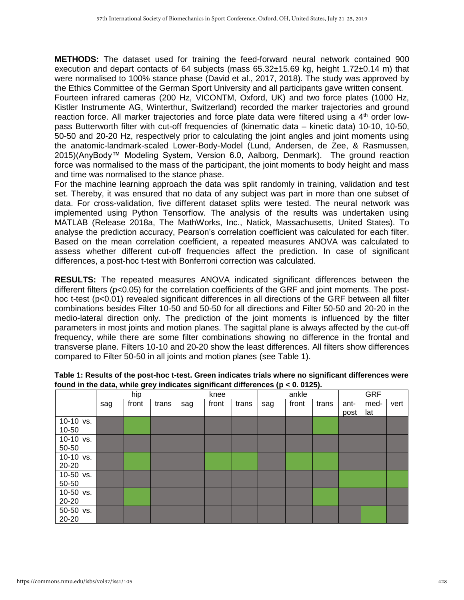**METHODS:** The dataset used for training the feed-forward neural network contained 900 execution and depart contacts of 64 subjects (mass 65.32±15.69 kg, height 1.72±0.14 m) that were normalised to 100% stance phase (David et al., 2017, 2018). The study was approved by the Ethics Committee of the German Sport University and all participants gave written consent.

Fourteen infrared cameras (200 Hz, VICONTM, Oxford, UK) and two force plates (1000 Hz, Kistler Instrumente AG, Winterthur, Switzerland) recorded the marker trajectories and ground reaction force. All marker trajectories and force plate data were filtered using a 4<sup>th</sup> order lowpass Butterworth filter with cut-off frequencies of (kinematic data – kinetic data) 10-10, 10-50, 50-50 and 20-20 Hz, respectively prior to calculating the joint angles and joint moments using the anatomic-landmark-scaled Lower-Body-Model (Lund, Andersen, de Zee, & Rasmussen, 2015)(AnyBody™ Modeling System, Version 6.0, Aalborg, Denmark). The ground reaction force was normalised to the mass of the participant, the joint moments to body height and mass and time was normalised to the stance phase.

For the machine learning approach the data was split randomly in training, validation and test set. Thereby, it was ensured that no data of any subject was part in more than one subset of data. For cross-validation, five different dataset splits were tested. The neural network was implemented using Python Tensorflow. The analysis of the results was undertaken using MATLAB (Release 2018a, The MathWorks, Inc., Natick, Massachusetts, United States). To analyse the prediction accuracy, Pearson's correlation coefficient was calculated for each filter. Based on the mean correlation coefficient, a repeated measures ANOVA was calculated to assess whether different cut-off frequencies affect the prediction. In case of significant differences, a post-hoc t-test with Bonferroni correction was calculated.

**RESULTS:** The repeated measures ANOVA indicated significant differences between the different filters (p<0.05) for the correlation coefficients of the GRF and joint moments. The posthoc t-test (p<0.01) revealed significant differences in all directions of the GRF between all filter combinations besides Filter 10-50 and 50-50 for all directions and Filter 50-50 and 20-20 in the medio-lateral direction only. The prediction of the joint moments is influenced by the filter parameters in most joints and motion planes. The sagittal plane is always affected by the cut-off frequency, while there are some filter combinations showing no difference in the frontal and transverse plane. Filters 10-10 and 20-20 show the least differences. All filters show differences compared to Filter 50-50 in all joints and motion planes (see Table 1).

|           | hip |       |       | knee |       |       | ankle |       |       | <b>GRF</b> |      |      |
|-----------|-----|-------|-------|------|-------|-------|-------|-------|-------|------------|------|------|
|           | sag | front | trans | sag  | front | trans | sag   | front | trans | ant-       | med- | vert |
|           |     |       |       |      |       |       |       |       |       | post       | lat  |      |
| 10-10 vs. |     |       |       |      |       |       |       |       |       |            |      |      |
| $10 - 50$ |     |       |       |      |       |       |       |       |       |            |      |      |
| 10-10 vs. |     |       |       |      |       |       |       |       |       |            |      |      |
| 50-50     |     |       |       |      |       |       |       |       |       |            |      |      |
| 10-10 vs. |     |       |       |      |       |       |       |       |       |            |      |      |
| 20-20     |     |       |       |      |       |       |       |       |       |            |      |      |
| 10-50 vs. |     |       |       |      |       |       |       |       |       |            |      |      |
| 50-50     |     |       |       |      |       |       |       |       |       |            |      |      |
| 10-50 vs. |     |       |       |      |       |       |       |       |       |            |      |      |
| 20-20     |     |       |       |      |       |       |       |       |       |            |      |      |
| 50-50 vs. |     |       |       |      |       |       |       |       |       |            |      |      |
| 20-20     |     |       |       |      |       |       |       |       |       |            |      |      |

#### **Table 1: Results of the post-hoc t-test. Green indicates trials where no significant differences were found in the data, while grey indicates significant differences (p < 0. 0125).**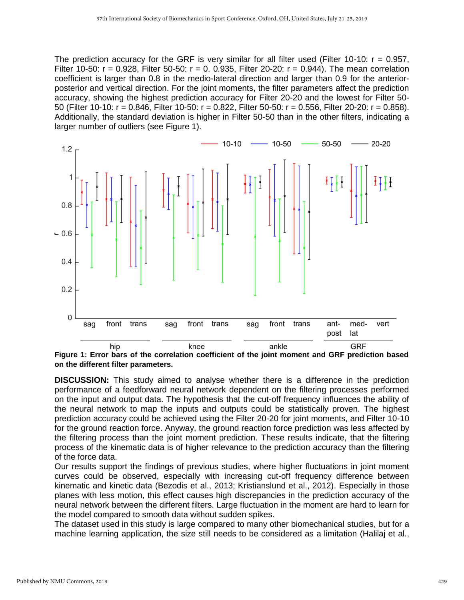The prediction accuracy for the GRF is very similar for all filter used (Filter 10-10:  $r = 0.957$ . Filter 10-50:  $r = 0.928$ , Filter 50-50:  $r = 0.0935$ , Filter 20-20:  $r = 0.944$ ). The mean correlation coefficient is larger than 0.8 in the medio-lateral direction and larger than 0.9 for the anteriorposterior and vertical direction. For the joint moments, the filter parameters affect the prediction accuracy, showing the highest prediction accuracy for Filter 20-20 and the lowest for Filter 50- 50 (Filter 10-10: r = 0.846, Filter 10-50: r = 0.822, Filter 50-50: r = 0.556, Filter 20-20: r = 0.858). Additionally, the standard deviation is higher in Filter 50-50 than in the other filters, indicating a larger number of outliers (see Figure 1).



**Figure 1: Error bars of the correlation coefficient of the joint moment and GRF prediction based on the different filter parameters.**

**DISCUSSION:** This study aimed to analyse whether there is a difference in the prediction performance of a feedforward neural network dependent on the filtering processes performed on the input and output data. The hypothesis that the cut-off frequency influences the ability of the neural network to map the inputs and outputs could be statistically proven. The highest prediction accuracy could be achieved using the Filter 20-20 for joint moments, and Filter 10-10 for the ground reaction force. Anyway, the ground reaction force prediction was less affected by the filtering process than the joint moment prediction. These results indicate, that the filtering process of the kinematic data is of higher relevance to the prediction accuracy than the filtering of the force data.

Our results support the findings of previous studies, where higher fluctuations in joint moment curves could be observed, especially with increasing cut-off frequency difference between kinematic and kinetic data (Bezodis et al., 2013; Kristianslund et al., 2012). Especially in those planes with less motion, this effect causes high discrepancies in the prediction accuracy of the neural network between the different filters. Large fluctuation in the moment are hard to learn for the model compared to smooth data without sudden spikes.

The dataset used in this study is large compared to many other biomechanical studies, but for a machine learning application, the size still needs to be considered as a limitation (Halilaj et al.,